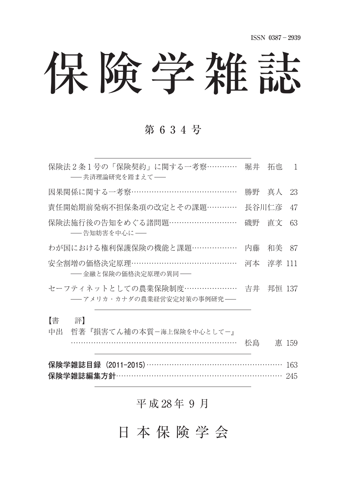# 保険学雑誌

## 第 6 3 4 号

| 保険法2条1号の「保険契約」に関する一考察…………<br>-- 共済理論研究を踏まえて--              | 堀井    | 拓也     | 1     |
|------------------------------------------------------------|-------|--------|-------|
| 因果関係に関する一考察……………………………………                                  |       | 勝野 真人  | 23    |
| 責任開始期前発病不担保条項の改定とその課題…………                                  | 長谷川仁彦 |        | 47    |
| 保険法施行後の告知をめぐる諸問題………………………<br>――告知妨害を中心に――                  | 磯野    | 直文     | 63    |
| わが国における権利保護保険の機能と課題………………                                  | 内藤    | 和美     | - 87  |
| 安全割増の価格決定原理…………………………………<br>―― 金融と保険の価格決定原理の異同――           | 河本    | 淳孝 111 |       |
| セーフティネットとしての農業保険制度………………… 吉井<br>-- アメリカ・カナダの農業経営安定対策の事例研究- |       | 邦恒 137 |       |
| 【書<br>評】                                                   |       |        |       |
| 中出<br>哲著『損害てん補の本質-海上保険を中心として-』                             |       |        |       |
|                                                            | 松島    |        | 惠 159 |

**保険学雑誌目録(2011-2015)**163 保険学雑誌編集方針……………………………………………………… 245

## 平成 28年 9月

## 日 本 保 険 学 会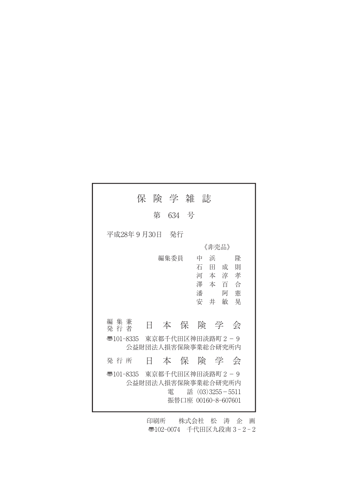| 保 険 学 雑 誌                                                                                                                                                            |
|----------------------------------------------------------------------------------------------------------------------------------------------------------------------|
| 634 号<br>第                                                                                                                                                           |
| 平成28年 9 月30日<br>- 発行                                                                                                                                                 |
| 《非壳品》                                                                                                                                                                |
| 編集委員<br>浜<br>隆<br>中<br>石<br>則<br>田<br>成<br>河本淳<br>孝<br>澤本百<br>一合<br>潘<br>憲<br>阿<br>安 井<br>敏<br>晃<br>編集兼<br>本保険学<br>Ħ.<br>会<br>発 行 者<br>東京都千代田区神田淡路町 2-9<br>壺101-8335 |
| 公益財団法人損害保険事業総合研究所内                                                                                                                                                   |
| 本保険学会<br>発 行 所<br>H                                                                                                                                                  |
| <br> ● 101-8335    東京都千代田区神田淡路町2−9<br>公益財団法人損害保険事業総合研究所内<br>話 (03) 3255 - 5511<br>                                                                                   |

印刷所 株式会社 松 涛 企 画 〠102-0074 千代田区九段南 3 - 2 - 2